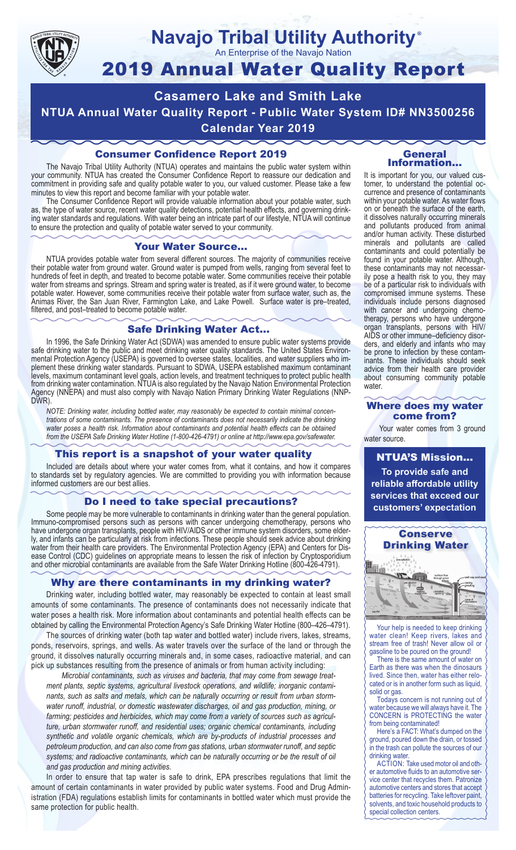

## **Navajo Tribal Utility Authority** ®

An Enterprise of the Navajo Nation

# 2019 Annual Water Quality Report

**Casamero Lake and Smith Lake NTUA Annual Water Quality Report - Public Water System ID# NN3500256 Calendar Year 2019**

## Consumer Confidence Report 2019

The Navajo Tribal Utility Authority (NTUA) operates and maintains the public water system within your community. NTUA has created the Consumer Confidence Report to reassure our dedication and commitment in providing safe and quality potable water to you, our valued customer. Please take a few minutes to view this report and become familiar with your potable water.

The Consumer Confidence Report will provide valuable information about your potable water, such as, the type of water source, recent water quality detections, potential health effects, and governing drinking water standards and regulations. With water being an intricate part of our lifestyle, NTUA will continue to ensure the protection and quality of potable water served to your community.

#### Your Water Source…

NTUA provides potable water from several different sources. The majority of communities receive their potable water from ground water. Ground water is pumped from wells, ranging from several feet to hundreds of feet in depth, and treated to become potable water. Some communities receive their potable water from streams and springs. Stream and spring water is treated, as if it were ground water, to become potable water. However, some communities receive their potable water from surface water, such as, the Animas River, the San Juan River, Farmington Lake, and Lake Powell. Surface water is pre–treated, filtered, and post–treated to become potable water.

#### Safe Drinking Water Act…

In 1996, the Safe Drinking Water Act (SDWA) was amended to ensure public water systems provide safe drinking water to the public and meet drinking water quality standards. The United States Environmental Protection Agency (USEPA) is governed to oversee states, localities, and water suppliers who implement these drinking water standards. Pursuant to SDWA, USEPA established maximum contaminant levels, maximum contaminant level goals, action levels, and treatment techniques to protect public health from drinking water contamination. NTUA is also regulated by the Navajo Nation Environmental Protection Agency (NNEPA) and must also comply with Navajo Nation Primary Drinking Water Regulations (NNP-DWR)

*NOTE: Drinking water, including bottled water, may reasonably be expected to contain minimal concentrations of some contaminants. The presence of contaminants does not necessarily indicate the drinking water poses a health risk. Information about contaminants and potential health effects can be obtained from the USEPA Safe Drinking Water Hotline (1-800-426-4791) or online at http://www.epa.gov/safewater.*

## This report is a snapshot of your water quality

Included are details about where your water comes from, what it contains, and how it compares to standards set by regulatory agencies. We are committed to providing you with information because informed customers are our best allies.

#### Do I need to take special precautions?

Some people may be more vulnerable to contaminants in drinking water than the general population. Immuno-compromised persons such as persons with cancer undergoing chemotherapy, persons who have undergone organ transplants, people with HIV/AIDS or other immune system disorders, some elderly, and infants can be particularly at risk from infections. These people should seek advice about drinking water from their health care providers. The Environmental Protection Agency (EPA) and Centers for Disease Control (CDC) guidelines on appropriate means to lessen the risk of infection by Cryptosporidium and other microbial contaminants are available from the Safe Water Drinking Hotline (800-426-4791).

## Why are there contaminants in my drinking water?

Drinking water, including bottled water, may reasonably be expected to contain at least small amounts of some contaminants. The presence of contaminants does not necessarily indicate that water poses a health risk. More information about contaminants and potential health effects can be obtained by calling the Environmental Protection Agency's Safe Drinking Water Hotline (800–426–4791).

The sources of drinking water (both tap water and bottled water) include rivers, lakes, streams, ponds, reservoirs, springs, and wells. As water travels over the surface of the land or through the ground, it dissolves naturally occurring minerals and, in some cases, radioactive material, and can pick up substances resulting from the presence of animals or from human activity including:

*Microbial contaminants, such as viruses and bacteria, that may come from sewage treatment plants, septic systems, agricultural livestock operations, and wildlife; inorganic contaminants, such as salts and metals, which can be naturally occurring or result from urban stormwater runoff, industrial, or domestic wastewater discharges, oil and gas production, mining, or farming; pesticides and herbicides, which may come from a variety of sources such as agriculture, urban stormwater runoff, and residential uses; organic chemical contaminants, including synthetic and volatile organic chemicals, which are by-products of industrial processes and petroleum production, and can also come from gas stations, urban stormwater runoff, and septic systems; and radioactive contaminants, which can be naturally occurring or be the result of oil and gas production and mining activities.*

In order to ensure that tap water is safe to drink, EPA prescribes regulations that limit the amount of certain contaminants in water provided by public water systems. Food and Drug Administration (FDA) regulations establish limits for contaminants in bottled water which must provide the same protection for public health.

#### General Information…

It is important for you, our valued customer, to understand the potential occurrence and presence of contaminants within your potable water. As water flows on or beneath the surface of the earth, it dissolves naturally occurring minerals and pollutants produced from animal and/or human activity. These disturbed minerals and pollutants are called contaminants and could potentially be found in your potable water. Although, these contaminants may not necessarily pose a health risk to you, they may be of a particular risk to individuals with compromised immune systems. These individuals include persons diagnosed with cancer and undergoing chemo-<br>therapy, persons who have undergone organ transplants, persons with HIV/ AIDS or other immune–deficiency disor- ders, and elderly and infants who may be prone to infection by these contam- inants. These individuals should seek advice from their health care provider about consuming community potable water.

#### Where does my water come from?

Your water comes from 3 ground water source.

NTUA'S Mission... **To provide safe and reliable affordable utility services that exceed our customers' expectation**



Your help is needed to keep drinking water clean! Keep rivers, lakes and stream free of trash! Never allow oil or gasoline to be poured on the ground!

There is the same amount of water on Earth as there was when the dinosaurs lived. Since then, water has either relocated or is in another form such as liquid, solid or gas.

Todays concern is not running out of water because we will always have it. The CONCERN is PROTECTING the water from being contaminated!

Here's a FACT: What's dumped on the ground, poured down the drain, or tossed in the trash can pollute the sources of our drinking water.

ACTION: Take used motor oil and other automotive fluids to an automotive service center that recycles them. Patronize automotive centers and stores that accept batteries for recycling. Take leftover paint, solvents, and toxic household products to special collection centers.